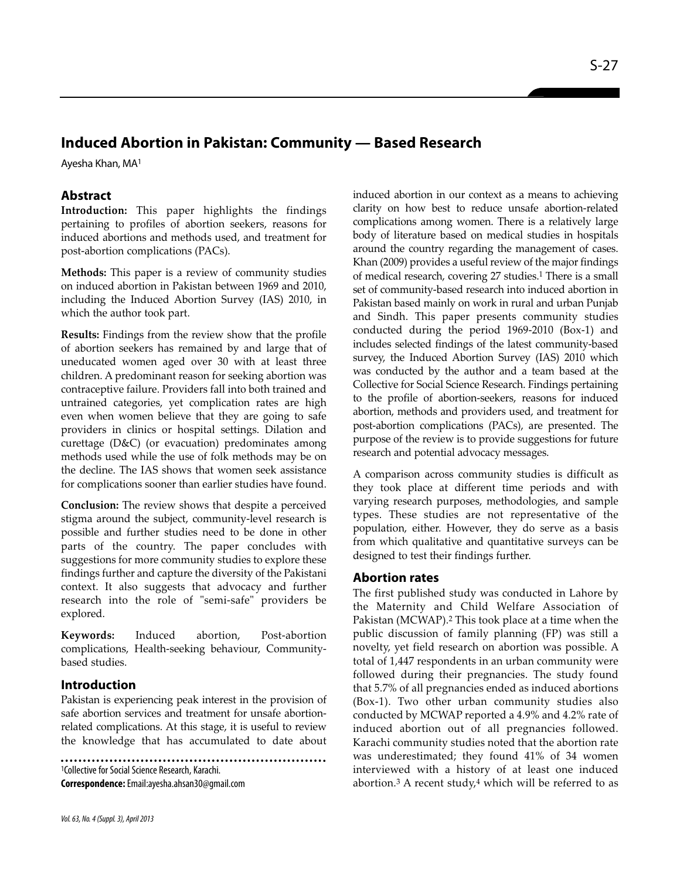# **Induced Abortion in Pakistan: Community — Based Research**

Ayesha Khan, MA1

# **Abstract**

**Introduction:** This paper highlights the findings pertaining to profiles of abortion seekers, reasons for induced abortions and methods used, and treatment for post-abortion complications (PACs).

**Methods:** This paper is a review of community studies on induced abortion in Pakistan between 1969 and 2010, including the Induced Abortion Survey (IAS) 2010, in which the author took part.

**Results:** Findings from the review show that the profile of abortion seekers has remained by and large that of uneducated women aged over 30 with at least three children. A predominant reason for seeking abortion was contraceptive failure. Providers fall into both trained and untrained categories, yet complication rates are high even when women believe that they are going to safe providers in clinics or hospital settings. Dilation and curettage (D&C) (or evacuation) predominates among methods used while the use of folk methods may be on the decline. The IAS shows that women seek assistance for complications sooner than earlier studies have found.

**Conclusion:** The review shows that despite a perceived stigma around the subject, community-level research is possible and further studies need to be done in other parts of the country. The paper concludes with suggestions for more community studies to explore these findings further and capture the diversity of the Pakistani context. It also suggests that advocacy and further research into the role of "semi-safe" providers be explored.

**Keywords:** Induced abortion, Post-abortion complications, Health-seeking behaviour, Communitybased studies.

# **Introduction**

Pakistan is experiencing peak interest in the provision of safe abortion services and treatment for unsafe abortionrelated complications. At this stage, it is useful to review the knowledge that has accumulated to date about

<sup>1</sup>Collective for Social Science Research, Karachi. **Correspondence:**Email:ayesha.ahsan30@gmail.com

*Vol. 63, No. 4 (Suppl. 3), April 2013*

induced abortion in our context as a means to achieving clarity on how best to reduce unsafe abortion-related complications among women. There is a relatively large body of literature based on medical studies in hospitals around the country regarding the management of cases. Khan (2009) provides a useful review of the major findings of medical research, covering 27 studies.<sup>1</sup> There is a small set of community-based research into induced abortion in Pakistan based mainly on work in rural and urban Punjab and Sindh. This paper presents community studies conducted during the period 1969-2010 (Box-1) and includes selected findings of the latest community-based survey, the Induced Abortion Survey (IAS) 2010 which was conducted by the author and a team based at the Collective for Social Science Research. Findings pertaining to the profile of abortion-seekers, reasons for induced abortion, methods and providers used, and treatment for post-abortion complications (PACs), are presented. The purpose of the review is to provide suggestions for future research and potential advocacy messages.

A comparison across community studies is difficult as they took place at different time periods and with varying research purposes, methodologies, and sample types. These studies are not representative of the population, either. However, they do serve as a basis from which qualitative and quantitative surveys can be designed to test their findings further.

#### **Abortion rates**

The first published study was conducted in Lahore by the Maternity and Child Welfare Association of Pakistan (MCWAP).<sup>2</sup> This took place at a time when the public discussion of family planning (FP) was still a novelty, yet field research on abortion was possible. A total of 1,447 respondents in an urban community were followed during their pregnancies. The study found that 5.7% of all pregnancies ended as induced abortions (Box-1). Two other urban community studies also conducted by MCWAP reported a 4.9% and 4.2% rate of induced abortion out of all pregnancies followed. Karachi community studies noted that the abortion rate was underestimated; they found 41% of 34 women interviewed with a history of at least one induced abortion.<sup>3</sup> A recent study, $4$  which will be referred to as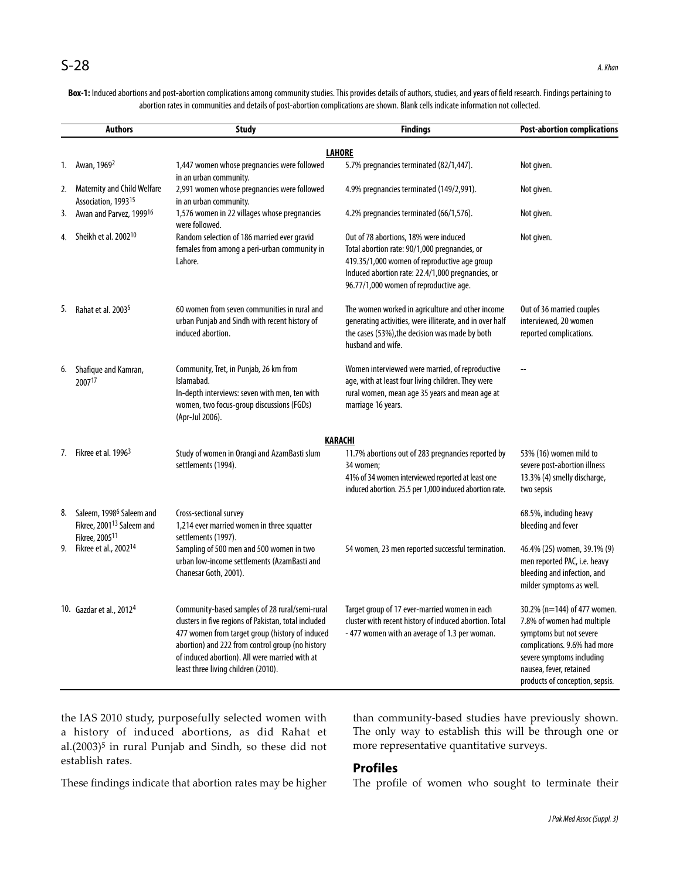**Box-1:** Induced abortions and post-abortion complications among community studies. This provides details of authors, studies, and years of field research. Findings pertaining to abortion rates in communities and details of post-abortion complications are shown. Blank cells indicate information not collected.

|    | <b>Authors</b>                                                                                              | <b>Study</b>                                                                                                                                                                                                                                                                                           | <b>Findings</b>                                                                                                                                                                                                                       | <b>Post-abortion complications</b>                                                                                                                                                                              |
|----|-------------------------------------------------------------------------------------------------------------|--------------------------------------------------------------------------------------------------------------------------------------------------------------------------------------------------------------------------------------------------------------------------------------------------------|---------------------------------------------------------------------------------------------------------------------------------------------------------------------------------------------------------------------------------------|-----------------------------------------------------------------------------------------------------------------------------------------------------------------------------------------------------------------|
|    |                                                                                                             |                                                                                                                                                                                                                                                                                                        | <b>LAHORE</b>                                                                                                                                                                                                                         |                                                                                                                                                                                                                 |
| 1. | Awan, 1969 <sup>2</sup>                                                                                     | 1,447 women whose pregnancies were followed<br>in an urban community.                                                                                                                                                                                                                                  | 5.7% pregnancies terminated (82/1,447).                                                                                                                                                                                               | Not given.                                                                                                                                                                                                      |
| 2. | <b>Maternity and Child Welfare</b><br>Association, 199315                                                   | 2,991 women whose pregnancies were followed<br>in an urban community.                                                                                                                                                                                                                                  | 4.9% pregnancies terminated (149/2,991).                                                                                                                                                                                              | Not given.                                                                                                                                                                                                      |
| 3. | Awan and Parvez, 199916                                                                                     | 1,576 women in 22 villages whose pregnancies<br>were followed.                                                                                                                                                                                                                                         | 4.2% pregnancies terminated (66/1,576).                                                                                                                                                                                               | Not given.                                                                                                                                                                                                      |
| 4. | Sheikh et al. 2002 <sup>10</sup>                                                                            | Random selection of 186 married ever gravid<br>females from among a peri-urban community in<br>Lahore.                                                                                                                                                                                                 | Out of 78 abortions, 18% were induced<br>Total abortion rate: 90/1,000 pregnancies, or<br>419.35/1,000 women of reproductive age group<br>Induced abortion rate: 22.4/1,000 pregnancies, or<br>96.77/1,000 women of reproductive age. | Not given.                                                                                                                                                                                                      |
| 5. | Rahat et al. 2003 <sup>5</sup>                                                                              | 60 women from seven communities in rural and<br>urban Punjab and Sindh with recent history of<br>induced abortion.                                                                                                                                                                                     | The women worked in agriculture and other income<br>generating activities, were illiterate, and in over half<br>the cases (53%), the decision was made by both<br>husband and wife.                                                   | Out of 36 married couples<br>interviewed, 20 women<br>reported complications.                                                                                                                                   |
| 6. | Shafique and Kamran,<br>200717                                                                              | Community, Tret, in Punjab, 26 km from<br>Islamabad.<br>In-depth interviews: seven with men, ten with<br>women, two focus-group discussions (FGDs)<br>(Apr-Jul 2006).                                                                                                                                  | Women interviewed were married, of reproductive<br>age, with at least four living children. They were<br>rural women, mean age 35 years and mean age at<br>marriage 16 years.                                                         |                                                                                                                                                                                                                 |
|    |                                                                                                             |                                                                                                                                                                                                                                                                                                        | <b>KARACHI</b>                                                                                                                                                                                                                        |                                                                                                                                                                                                                 |
|    | 7. Fikree et al. 1996 <sup>3</sup>                                                                          | Study of women in Orangi and AzamBasti slum<br>settlements (1994).                                                                                                                                                                                                                                     | 11.7% abortions out of 283 pregnancies reported by<br>34 women;<br>41% of 34 women interviewed reported at least one<br>induced abortion. 25.5 per 1,000 induced abortion rate.                                                       | 53% (16) women mild to<br>severe post-abortion illness<br>13.3% (4) smelly discharge,<br>two sepsis                                                                                                             |
| 8. | Saleem, 1998 <sup>6</sup> Saleem and<br>Fikree, 2001 <sup>13</sup> Saleem and<br>Fikree, 2005 <sup>11</sup> | Cross-sectional survey<br>1,214 ever married women in three squatter<br>settlements (1997).                                                                                                                                                                                                            |                                                                                                                                                                                                                                       | 68.5%, including heavy<br>bleeding and fever                                                                                                                                                                    |
| 9. | Fikree et al., 2002 <sup>14</sup>                                                                           | Sampling of 500 men and 500 women in two<br>urban low-income settlements (AzamBasti and<br>Chanesar Goth, 2001).                                                                                                                                                                                       | 54 women, 23 men reported successful termination.                                                                                                                                                                                     | 46.4% (25) women, 39.1% (9)<br>men reported PAC, i.e. heavy<br>bleeding and infection, and<br>milder symptoms as well.                                                                                          |
|    | 10. Gazdar et al., 2012 <sup>4</sup>                                                                        | Community-based samples of 28 rural/semi-rural<br>clusters in five regions of Pakistan, total included<br>477 women from target group (history of induced<br>abortion) and 222 from control group (no history<br>of induced abortion). All were married with at<br>least three living children (2010). | Target group of 17 ever-married women in each<br>cluster with recent history of induced abortion. Total<br>-477 women with an average of 1.3 per woman.                                                                               | 30.2% (n=144) of 477 women.<br>7.8% of women had multiple<br>symptoms but not severe<br>complications. 9.6% had more<br>severe symptoms including<br>nausea, fever, retained<br>products of conception, sepsis. |

the IAS 2010 study, purposefully selected women with a history of induced abortions, as did Rahat et al.(2003)<sup>5</sup> in rural Punjab and Sindh, so these did not establish rates.

These findings indicate that abortion rates may be higher

than community-based studies have previously shown. The only way to establish this will be through one or more representative quantitative surveys.

#### **Profiles**

The profile of women who sought to terminate their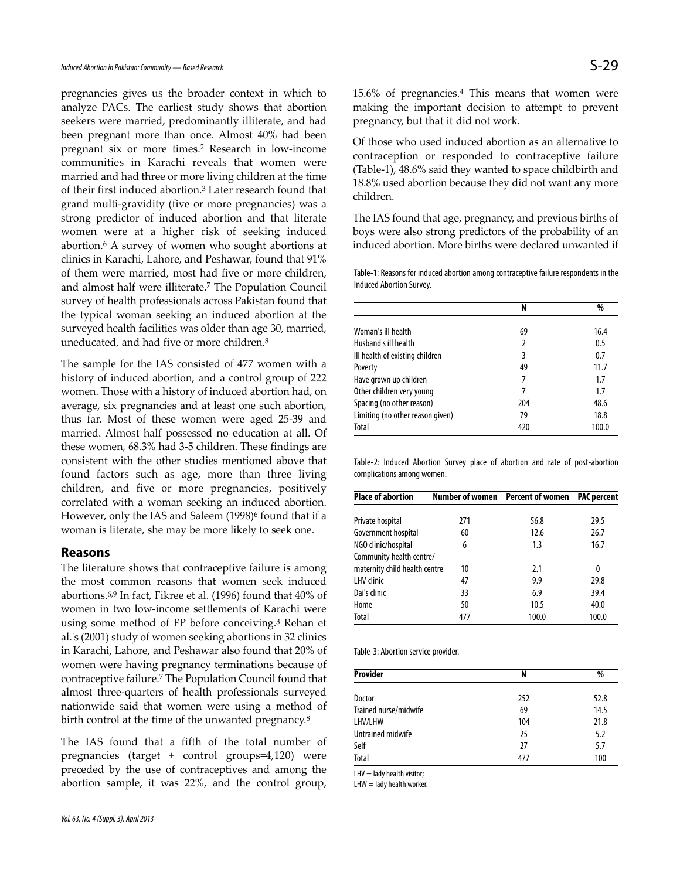pregnancies gives us the broader context in which to analyze PACs. The earliest study shows that abortion seekers were married, predominantly illiterate, and had been pregnant more than once. Almost 40% had been pregnant six or more times.<sup>2</sup> Research in low-income communities in Karachi reveals that women were married and had three or more living children at the time of their first induced abortion.<sup>3</sup> Later research found that grand multi-gravidity (five or more pregnancies) was a strong predictor of induced abortion and that literate women were at a higher risk of seeking induced abortion.<sup>6</sup> A survey of women who sought abortions at clinics in Karachi, Lahore, and Peshawar, found that 91% of them were married, most had five or more children, and almost half were illiterate.<sup>7</sup> The Population Council survey of health professionals across Pakistan found that the typical woman seeking an induced abortion at the surveyed health facilities was older than age 30, married, uneducated, and had five or more children.<sup>8</sup>

The sample for the IAS consisted of 477 women with a history of induced abortion, and a control group of 222 women. Those with a history of induced abortion had, on average, six pregnancies and at least one such abortion, thus far. Most of these women were aged 25-39 and married. Almost half possessed no education at all. Of these women, 68.3% had 3-5 children. These findings are consistent with the other studies mentioned above that found factors such as age, more than three living children, and five or more pregnancies, positively correlated with a woman seeking an induced abortion. However, only the IAS and Saleem (1998)<sup>6</sup> found that if a woman is literate, she may be more likely to seek one.

#### **Reasons**

The literature shows that contraceptive failure is among the most common reasons that women seek induced abortions.6,9 In fact, Fikree et al. (1996) found that 40% of women in two low-income settlements of Karachi were using some method of FP before conceiving.<sup>3</sup> Rehan et al.'s (2001) study of women seeking abortions in 32 clinics in Karachi, Lahore, and Peshawar also found that 20% of women were having pregnancy terminations because of contraceptive failure.<sup>7</sup> The Population Council found that almost three-quarters of health professionals surveyed nationwide said that women were using a method of birth control at the time of the unwanted pregnancy.<sup>8</sup>

The IAS found that a fifth of the total number of pregnancies (target + control groups=4,120) were preceded by the use of contraceptives and among the abortion sample, it was 22%, and the control group,

15.6% of pregnancies.<sup>4</sup> This means that women were making the important decision to attempt to prevent pregnancy, but that it did not work.

Of those who used induced abortion as an alternative to contraception or responded to contraceptive failure (Table-1), 48.6% said they wanted to space childbirth and 18.8% used abortion because they did not want any more children.

The IAS found that age, pregnancy, and previous births of boys were also strong predictors of the probability of an induced abortion. More births were declared unwanted if

Table-1: Reasons for induced abortion among contraceptive failure respondents in the Induced Abortion Survey.

|                                  | N   | %     |
|----------------------------------|-----|-------|
|                                  |     |       |
| Woman's ill health               | 69  | 16.4  |
| Husband's ill health             | 2   | 0.5   |
| Ill health of existing children  | 3   | 0.7   |
| Poverty                          | 49  | 11.7  |
| Have grown up children           | 7   | 1.7   |
| Other children very young        |     | 1.7   |
| Spacing (no other reason)        | 204 | 48.6  |
| Limiting (no other reason given) | 79  | 18.8  |
| Total                            | 420 | 100.0 |

Table-2: Induced Abortion Survey place of abortion and rate of post-abortion complications among women.

| Place of abortion             |     | Number of women  Percent of women | <b>PAC</b> percent |  |
|-------------------------------|-----|-----------------------------------|--------------------|--|
|                               |     |                                   |                    |  |
| Private hospital              | 271 | 56.8                              | 29.5               |  |
| Government hospital           | 60  | 12.6                              | 26.7               |  |
| NGO clinic/hospital           | 6   | 1.3                               | 16.7               |  |
| Community health centre/      |     |                                   |                    |  |
| maternity child health centre | 10  | 2.1                               | 0                  |  |
| LHV clinic                    | 47  | 9.9                               | 29.8               |  |
| Dai's clinic                  | 33  | 6.9                               | 39.4               |  |
| Home                          | 50  | 10.5                              | 40.0               |  |
| Total                         | 477 | 100.0                             | 100.0              |  |

Table-3: Abortion service provider.

| Provider              | N   | %    |
|-----------------------|-----|------|
| Doctor                | 252 | 52.8 |
|                       |     |      |
| Trained nurse/midwife | 69  | 14.5 |
| LHV/LHW               | 104 | 21.8 |
| Untrained midwife     | 25  | 5.2  |
| Self                  | 27  | 5.7  |
| Total                 | 477 | 100  |

 $LHV =$  lady health visitor;

 $LHW =$  lady health worker.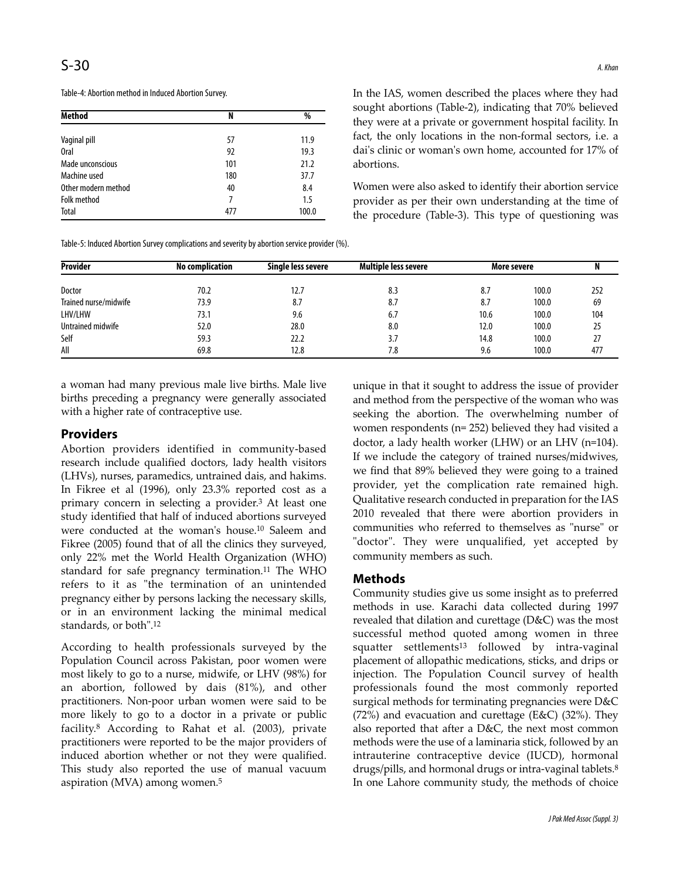| <b>Method</b>       | N   | %     |  |
|---------------------|-----|-------|--|
|                     |     |       |  |
| Vaginal pill        | 57  | 11.9  |  |
| <b>Oral</b>         | 92  | 19.3  |  |
| Made unconscious    | 101 | 21.2  |  |
| Machine used        | 180 | 37.7  |  |
| Other modern method | 40  | 8.4   |  |
| <b>Folk method</b>  | 7   | 1.5   |  |
| Total               | 477 | 100.0 |  |

In the IAS, women described the places where they had sought abortions (Table-2), indicating that 70% believed they were at a private or government hospital facility. In fact, the only locations in the non-formal sectors, i.e. a dai's clinic or woman's own home, accounted for 17% of abortions.

Women were also asked to identify their abortion service provider as per their own understanding at the time of the procedure (Table-3). This type of questioning was

Table-5: Induced Abortion Survey complications and severity by abortion service provider (%).

| <b>Provider</b>       | <b>No complication</b> | Single less severe | <b>Multiple less severe</b> | More severe |       |     |
|-----------------------|------------------------|--------------------|-----------------------------|-------------|-------|-----|
| Doctor                | 70.2                   | 12.7               | 8.3                         | 8.7         | 100.0 | 252 |
| Trained nurse/midwife | 73.9                   | 8.7                | 8.7                         | 8.7         | 100.0 | 69  |
| LHV/LHW               | 73.1                   | 9.6                | 6.7                         | 10.6        | 100.0 | 104 |
| Untrained midwife     | 52.0                   | 28.0               | 8.0                         | 12.0        | 100.0 | 25  |
| Self                  | 59.3                   | 22.2               | 3.7                         | 14.8        | 100.0 | 27  |
| All                   | 69.8                   | 12.8               | 7.8                         | 9.6         | 100.0 | 477 |

a woman had many previous male live births. Male live births preceding a pregnancy were generally associated with a higher rate of contraceptive use.

## **Providers**

Abortion providers identified in community-based research include qualified doctors, lady health visitors (LHVs), nurses, paramedics, untrained dais, and hakims. In Fikree et al (1996), only 23.3% reported cost as a primary concern in selecting a provider.<sup>3</sup> At least one study identified that half of induced abortions surveyed were conducted at the woman's house.<sup>10</sup> Saleem and Fikree (2005) found that of all the clinics they surveyed, only 22% met the World Health Organization (WHO) standard for safe pregnancy termination.<sup>11</sup> The WHO refers to it as "the termination of an unintended pregnancy either by persons lacking the necessary skills, or in an environment lacking the minimal medical standards, or both".<sup>12</sup>

According to health professionals surveyed by the Population Council across Pakistan, poor women were most likely to go to a nurse, midwife, or LHV (98%) for an abortion, followed by dais (81%), and other practitioners. Non-poor urban women were said to be more likely to go to a doctor in a private or public facility.<sup>8</sup> According to Rahat et al. (2003), private practitioners were reported to be the major providers of induced abortion whether or not they were qualified. This study also reported the use of manual vacuum aspiration (MVA) among women.<sup>5</sup>

unique in that it sought to address the issue of provider and method from the perspective of the woman who was seeking the abortion. The overwhelming number of women respondents (n= 252) believed they had visited a doctor, a lady health worker (LHW) or an LHV (n=104). If we include the category of trained nurses/midwives, we find that 89% believed they were going to a trained provider, yet the complication rate remained high. Qualitative research conducted in preparation for the IAS 2010 revealed that there were abortion providers in communities who referred to themselves as "nurse" or "doctor". They were unqualified, yet accepted by community members as such.

#### **Methods**

Community studies give us some insight as to preferred methods in use. Karachi data collected during 1997 revealed that dilation and curettage (D&C) was the most successful method quoted among women in three squatter settlements<sup>13</sup> followed by intra-vaginal placement of allopathic medications, sticks, and drips or injection. The Population Council survey of health professionals found the most commonly reported surgical methods for terminating pregnancies were D&C  $(72%)$  and evacuation and curettage (E&C)  $(32%)$ . They also reported that after a D&C, the next most common methods were the use of a laminaria stick, followed by an intrauterine contraceptive device (IUCD), hormonal drugs/pills, and hormonal drugs or intra-vaginal tablets.<sup>8</sup> In one Lahore community study, the methods of choice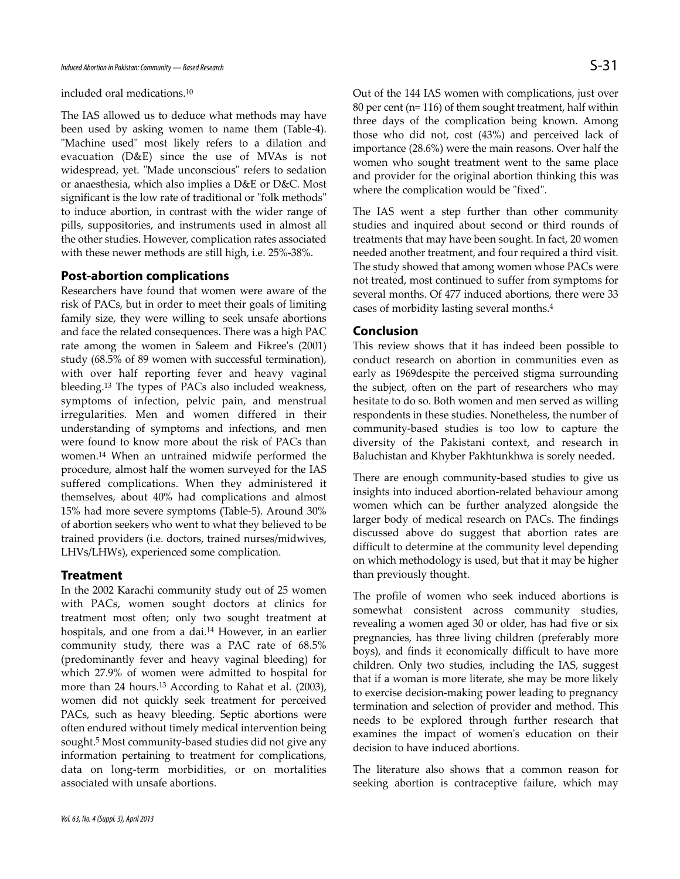included oral medications.<sup>10</sup>

The IAS allowed us to deduce what methods may have been used by asking women to name them (Table-4). "Machine used" most likely refers to a dilation and evacuation (D&E) since the use of MVAs is not widespread, yet. "Made unconscious" refers to sedation or anaesthesia, which also implies a D&E or D&C. Most significant is the low rate of traditional or "folk methods" to induce abortion, in contrast with the wider range of pills, suppositories, and instruments used in almost all the other studies. However, complication rates associated with these newer methods are still high, i.e. 25%-38%.

#### **Post-abortion complications**

Researchers have found that women were aware of the risk of PACs, but in order to meet their goals of limiting family size, they were willing to seek unsafe abortions and face the related consequences. There was a high PAC rate among the women in Saleem and Fikree's (2001) study (68.5% of 89 women with successful termination), with over half reporting fever and heavy vaginal bleeding.<sup>13</sup> The types of PACs also included weakness, symptoms of infection, pelvic pain, and menstrual irregularities. Men and women differed in their understanding of symptoms and infections, and men were found to know more about the risk of PACs than women.<sup>14</sup> When an untrained midwife performed the procedure, almost half the women surveyed for the IAS suffered complications. When they administered it themselves, about 40% had complications and almost 15% had more severe symptoms (Table-5). Around 30% of abortion seekers who went to what they believed to be trained providers (i.e. doctors, trained nurses/midwives, LHVs/LHWs), experienced some complication.

#### **Treatment**

In the 2002 Karachi community study out of 25 women with PACs, women sought doctors at clinics for treatment most often; only two sought treatment at hospitals, and one from a dai.<sup>14</sup> However, in an earlier community study, there was a PAC rate of 68.5% (predominantly fever and heavy vaginal bleeding) for which 27.9% of women were admitted to hospital for more than 24 hours.<sup>13</sup> According to Rahat et al. (2003), women did not quickly seek treatment for perceived PACs, such as heavy bleeding. Septic abortions were often endured without timely medical intervention being sought.<sup>5</sup> Most community-based studies did not give any information pertaining to treatment for complications, data on long-term morbidities, or on mortalities associated with unsafe abortions.

Out of the 144 IAS women with complications, just over 80 per cent (n= 116) of them sought treatment, half within three days of the complication being known. Among those who did not, cost (43%) and perceived lack of importance (28.6%) were the main reasons. Over half the women who sought treatment went to the same place and provider for the original abortion thinking this was where the complication would be "fixed".

The IAS went a step further than other community studies and inquired about second or third rounds of treatments that may have been sought. In fact, 20 women needed another treatment, and four required a third visit. The study showed that among women whose PACs were not treated, most continued to suffer from symptoms for several months. Of 477 induced abortions, there were 33 cases of morbidity lasting several months.<sup>4</sup>

#### **Conclusion**

This review shows that it has indeed been possible to conduct research on abortion in communities even as early as 1969despite the perceived stigma surrounding the subject, often on the part of researchers who may hesitate to do so. Both women and men served as willing respondents in these studies. Nonetheless, the number of community-based studies is too low to capture the diversity of the Pakistani context, and research in Baluchistan and Khyber Pakhtunkhwa is sorely needed.

There are enough community-based studies to give us insights into induced abortion-related behaviour among women which can be further analyzed alongside the larger body of medical research on PACs. The findings discussed above do suggest that abortion rates are difficult to determine at the community level depending on which methodology is used, but that it may be higher than previously thought.

The profile of women who seek induced abortions is somewhat consistent across community studies, revealing a women aged 30 or older, has had five or six pregnancies, has three living children (preferably more boys), and finds it economically difficult to have more children. Only two studies, including the IAS, suggest that if a woman is more literate, she may be more likely to exercise decision-making power leading to pregnancy termination and selection of provider and method. This needs to be explored through further research that examines the impact of women's education on their decision to have induced abortions.

The literature also shows that a common reason for seeking abortion is contraceptive failure, which may